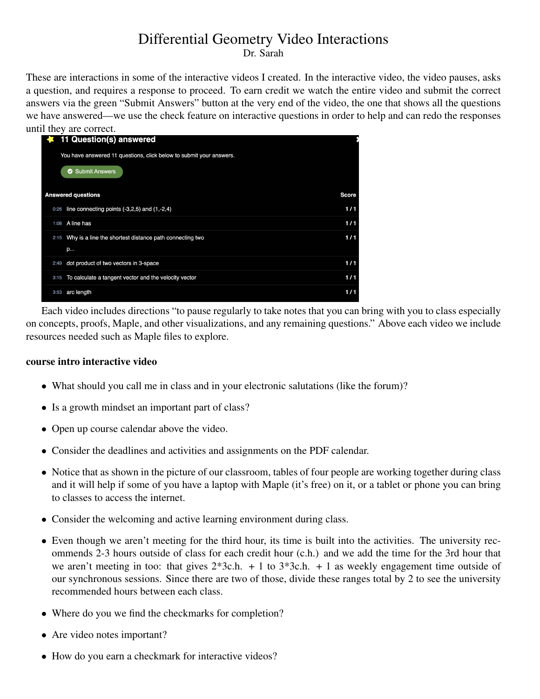# Differential Geometry Video Interactions

Dr. Sarah

These are interactions in some of the interactive videos I created. In the interactive video, the video pauses, asks a question, and requires a response to proceed. To earn credit we watch the entire video and submit the correct answers via the green "Submit Answers" button at the very end of the video, the one that shows all the questions we have answered—we use the check feature on interactive questions in order to help and can redo the responses until they are correct.

|      | 11 Question(s) answered                                             |              |
|------|---------------------------------------------------------------------|--------------|
|      | You have answered 11 questions, click below to submit your answers. |              |
|      | Submit Answers                                                      |              |
|      |                                                                     |              |
|      | <b>Answered questions</b>                                           | <b>Score</b> |
| 0:26 | line connecting points $(-3,2,5)$ and $(1,-2,4)$                    | 1/1          |
| 1:08 | A line has                                                          | 1/1          |
| 2:15 | Why is a line the shortest distance path connecting two             | 1/1          |
|      | p                                                                   |              |
| 2:49 | dot product of two vectors in 3-space                               | 1/1          |
| 3:15 | To calculate a tangent vector and the velocity vector               | 1/1          |
| 3:53 | arc length                                                          | 1/1          |
|      |                                                                     |              |

Each video includes directions "to pause regularly to take notes that you can bring with you to class especially on concepts, proofs, Maple, and other visualizations, and any remaining questions." Above each video we include resources needed such as Maple files to explore.

## course intro interactive video

- What should you call me in class and in your electronic salutations (like the forum)?
- Is a growth mindset an important part of class?
- Open up course calendar above the video.
- Consider the deadlines and activities and assignments on the PDF calendar.
- Notice that as shown in the picture of our classroom, tables of four people are working together during class and it will help if some of you have a laptop with Maple (it's free) on it, or a tablet or phone you can bring to classes to access the internet.
- Consider the welcoming and active learning environment during class.
- Even though we aren't meeting for the third hour, its time is built into the activities. The university recommends 2-3 hours outside of class for each credit hour (c.h.) and we add the time for the 3rd hour that we aren't meeting in too: that gives  $2*3c.h. + 1$  to  $3*3c.h. + 1$  as weekly engagement time outside of our synchronous sessions. Since there are two of those, divide these ranges total by 2 to see the university recommended hours between each class.
- Where do you we find the checkmarks for completion?
- Are video notes important?
- How do you earn a checkmark for interactive videos?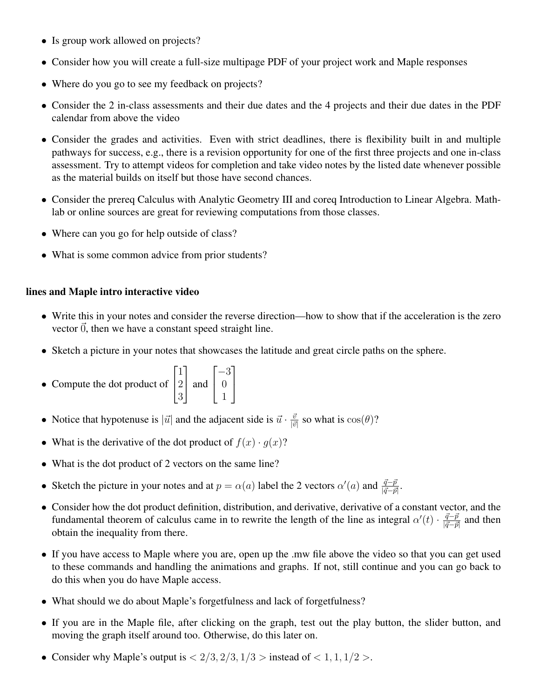- Is group work allowed on projects?
- Consider how you will create a full-size multipage PDF of your project work and Maple responses
- Where do you go to see my feedback on projects?
- Consider the 2 in-class assessments and their due dates and the 4 projects and their due dates in the PDF calendar from above the video
- Consider the grades and activities. Even with strict deadlines, there is flexibility built in and multiple pathways for success, e.g., there is a revision opportunity for one of the first three projects and one in-class assessment. Try to attempt videos for completion and take video notes by the listed date whenever possible as the material builds on itself but those have second chances.
- Consider the prereq Calculus with Analytic Geometry III and coreq Introduction to Linear Algebra. Mathlab or online sources are great for reviewing computations from those classes.
- Where can you go for help outside of class?
- What is some common advice from prior students?

# lines and Maple intro interactive video

- Write this in your notes and consider the reverse direction—how to show that if the acceleration is the zero vector  $\vec{0}$ , then we have a constant speed straight line.
- Sketch a picture in your notes that showcases the latitude and great circle paths on the sphere.

1

 $\overline{1}$ 

• Compute the dot product of 
$$
\begin{bmatrix} 1 \\ 2 \\ 3 \end{bmatrix}
$$
 and  $\begin{bmatrix} -3 \\ 0 \\ 1 \end{bmatrix}$ 

- Notice that hypotenuse is  $|\vec{u}|$  and the adjacent side is  $\vec{u} \cdot \frac{\vec{v}}{|\vec{u}|}$  $\frac{\vec{v}}{|\vec{v}|}$  so what is  $\cos(\theta)$ ?
- What is the derivative of the dot product of  $f(x) \cdot g(x)$ ?
- What is the dot product of 2 vectors on the same line?
- Sketch the picture in your notes and at  $p = \alpha(a)$  label the 2 vectors  $\alpha'(a)$  and  $\frac{\vec{q} \vec{p}}{|\vec{q} \vec{p}|}$ .
- Consider how the dot product definition, distribution, and derivative, derivative of a constant vector, and the fundamental theorem of calculus came in to rewrite the length of the line as integral  $\alpha'(t) \cdot \frac{\vec{q}-\vec{p}}{|\vec{q}-\vec{p}|}$  $\frac{q-p}{|\vec{q}-\vec{p}|}$  and then obtain the inequality from there.
- If you have access to Maple where you are, open up the .mw file above the video so that you can get used to these commands and handling the animations and graphs. If not, still continue and you can go back to do this when you do have Maple access.
- What should we do about Maple's forgetfulness and lack of forgetfulness?
- If you are in the Maple file, after clicking on the graph, test out the play button, the slider button, and moving the graph itself around too. Otherwise, do this later on.
- Consider why Maple's output is  $\langle 2/3, 2/3, 1/3 \rangle$  instead of  $\langle 1, 1, 1/2 \rangle$ .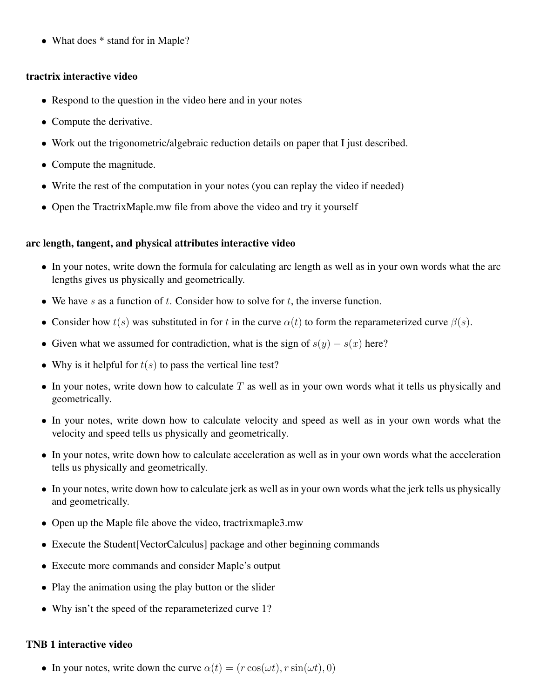• What does  $*$  stand for in Maple?

## tractrix interactive video

- Respond to the question in the video here and in your notes
- Compute the derivative.
- Work out the trigonometric/algebraic reduction details on paper that I just described.
- Compute the magnitude.
- Write the rest of the computation in your notes (you can replay the video if needed)
- Open the TractrixMaple.mw file from above the video and try it yourself

## arc length, tangent, and physical attributes interactive video

- In your notes, write down the formula for calculating arc length as well as in your own words what the arc lengths gives us physically and geometrically.
- We have s as a function of t. Consider how to solve for t, the inverse function.
- Consider how  $t(s)$  was substituted in for t in the curve  $\alpha(t)$  to form the reparameterized curve  $\beta(s)$ .
- Given what we assumed for contradiction, what is the sign of  $s(y) s(x)$  here?
- Why is it helpful for  $t(s)$  to pass the vertical line test?
- In your notes, write down how to calculate  $T$  as well as in your own words what it tells us physically and geometrically.
- In your notes, write down how to calculate velocity and speed as well as in your own words what the velocity and speed tells us physically and geometrically.
- In your notes, write down how to calculate acceleration as well as in your own words what the acceleration tells us physically and geometrically.
- In your notes, write down how to calculate jerk as well as in your own words what the jerk tells us physically and geometrically.
- Open up the Maple file above the video, tractrixmaple3.mw
- Execute the Student [VectorCalculus] package and other beginning commands
- Execute more commands and consider Maple's output
- Play the animation using the play button or the slider
- Why isn't the speed of the reparameterized curve 1?

# TNB 1 interactive video

• In your notes, write down the curve  $\alpha(t) = (r \cos(\omega t), r \sin(\omega t), 0)$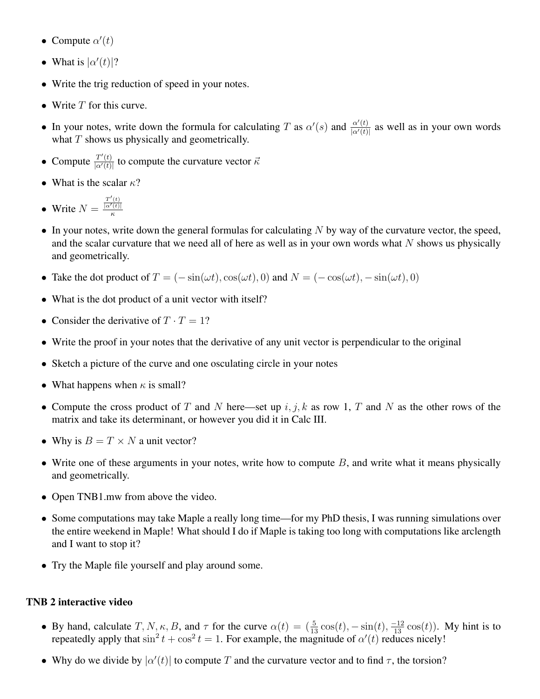- Compute  $\alpha'(t)$
- What is  $|\alpha'(t)|$ ?
- Write the trig reduction of speed in your notes.
- Write  $T$  for this curve.
- In your notes, write down the formula for calculating T as  $\alpha'(s)$  and  $\frac{\alpha'(t)}{\alpha'(t)}$  $\frac{\alpha(t)}{|\alpha'(t)|}$  as well as in your own words what  $T$  shows us physically and geometrically.
- Compute  $\frac{T'(t)}{\log(t)}$  $\frac{T^{(t)}}{|\alpha'(t)|}$  to compute the curvature vector  $\vec{\kappa}$
- What is the scalar  $\kappa$ ?

• Write 
$$
N = \frac{\frac{T'(t)}{|\alpha'(t)|}}{\kappa}
$$

- In your notes, write down the general formulas for calculating  $N$  by way of the curvature vector, the speed, and the scalar curvature that we need all of here as well as in your own words what  $N$  shows us physically and geometrically.
- Take the dot product of  $T = (-\sin(\omega t), \cos(\omega t), 0)$  and  $N = (-\cos(\omega t), -\sin(\omega t), 0)$
- What is the dot product of a unit vector with itself?
- Consider the derivative of  $T \cdot T = 1$ ?
- Write the proof in your notes that the derivative of any unit vector is perpendicular to the original
- Sketch a picture of the curve and one osculating circle in your notes
- What happens when  $\kappa$  is small?
- Compute the cross product of T and N here—set up  $i, j, k$  as row 1, T and N as the other rows of the matrix and take its determinant, or however you did it in Calc III.
- Why is  $B = T \times N$  a unit vector?
- Write one of these arguments in your notes, write how to compute  $B$ , and write what it means physically and geometrically.
- Open TNB1.mw from above the video.
- Some computations may take Maple a really long time—for my PhD thesis, I was running simulations over the entire weekend in Maple! What should I do if Maple is taking too long with computations like arclength and I want to stop it?
- Try the Maple file yourself and play around some.

# TNB 2 interactive video

- By hand, calculate  $T, N, \kappa, B$ , and  $\tau$  for the curve  $\alpha(t) = (\frac{5}{13}\cos(t), -\sin(t), \frac{-12}{13}\cos(t))$ . My hint is to repeatedly apply that  $\sin^2 t + \cos^2 t = 1$ . For example, the magnitude of  $\alpha'(t)$  reduces nicely!
- Why do we divide by  $|\alpha'(t)|$  to compute T and the curvature vector and to find  $\tau$ , the torsion?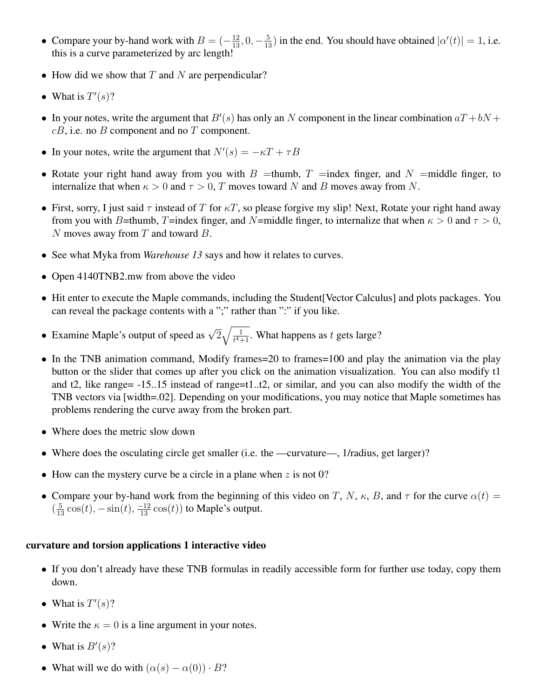- Compare your by-hand work with  $B = \left(-\frac{12}{13}, 0, -\frac{5}{13}\right)$  in the end. You should have obtained  $|\alpha'(t)| = 1$ , i.e. this is a curve parameterized by arc length!
- How did we show that  $T$  and  $N$  are perpendicular?
- What is  $T'(s)$ ?
- In your notes, write the argument that  $B'(s)$  has only an N component in the linear combination  $aT + bN$  +  $cB$ , i.e. no  $B$  component and no  $T$  component.
- In your notes, write the argument that  $N'(s) = -\kappa T + \tau B$
- Rotate your right hand away from you with  $B =$ thumb,  $T =$ index finger, and  $N =$ middle finger, to internalize that when  $\kappa > 0$  and  $\tau > 0$ , T moves toward N and B moves away from N.
- First, sorry, I just said  $\tau$  instead of T for  $\kappa T$ , so please forgive my slip! Next, Rotate your right hand away from you with B=thumb, T=index finger, and N=middle finger, to internalize that when  $\kappa > 0$  and  $\tau > 0$ , N moves away from  $T$  and toward  $B$ .
- See what Myka from *Warehouse 13* says and how it relates to curves.
- Open 4140TNB2.mw from above the video
- Hit enter to execute the Maple commands, including the Student [Vector Calculus] and plots packages. You can reveal the package contents with a ";" rather than ":" if you like.
- Examine Maple's output of speed as  $\sqrt{2}\sqrt{\frac{1}{t^4+1}}$ . What happens as t gets large?
- In the TNB animation command, Modify frames=20 to frames=100 and play the animation via the play button or the slider that comes up after you click on the animation visualization. You can also modify t1 and t2, like range= -15..15 instead of range=t1..t2, or similar, and you can also modify the width of the TNB vectors via [width=.02]. Depending on your modifications, you may notice that Maple sometimes has problems rendering the curve away from the broken part.
- Where does the metric slow down
- Where does the osculating circle get smaller (i.e. the —curvature—, 1/radius, get larger)?
- How can the mystery curve be a circle in a plane when  $z$  is not 0?
- Compare your by-hand work from the beginning of this video on T, N,  $\kappa$ , B, and  $\tau$  for the curve  $\alpha(t)$  =  $\left(\frac{5}{13}\cos(t), -\sin(t), \frac{-12}{13}\cos(t)\right)$  to Maple's output.

#### curvature and torsion applications 1 interactive video

- If you don't already have these TNB formulas in readily accessible form for further use today, copy them down.
- What is  $T'(s)$ ?
- Write the  $\kappa = 0$  is a line argument in your notes.
- What is  $B'(s)$ ?
- What will we do with  $(\alpha(s) \alpha(0)) \cdot B$ ?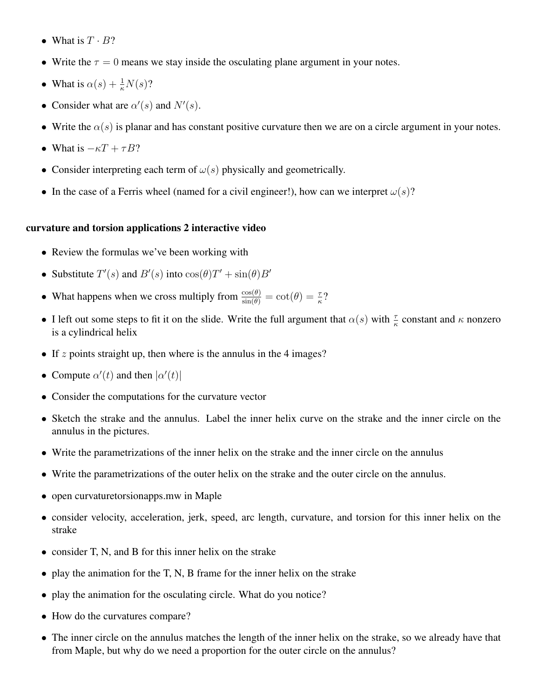- What is  $T \cdot B$ ?
- Write the  $\tau = 0$  means we stay inside the osculating plane argument in your notes.
- What is  $\alpha(s) + \frac{1}{\kappa}N(s)$ ?
- Consider what are  $\alpha'(s)$  and  $N'(s)$ .
- Write the  $\alpha(s)$  is planar and has constant positive curvature then we are on a circle argument in your notes.
- What is  $-\kappa T + \tau B$ ?
- Consider interpreting each term of  $\omega(s)$  physically and geometrically.
- In the case of a Ferris wheel (named for a civil engineer!), how can we interpret  $\omega(s)$ ?

#### curvature and torsion applications 2 interactive video

- Review the formulas we've been working with
- Substitute  $T'(s)$  and  $B'(s)$  into  $\cos(\theta)T' + \sin(\theta)B'$
- What happens when we cross multiply from  $\frac{\cos(\theta)}{\sin(\theta)} = \cot(\theta) = \frac{\tau}{\kappa}$ ?
- I left out some steps to fit it on the slide. Write the full argument that  $\alpha(s)$  with  $\frac{\tau}{\kappa}$  constant and  $\kappa$  nonzero is a cylindrical helix
- If z points straight up, then where is the annulus in the 4 images?
- Compute  $\alpha'(t)$  and then  $|\alpha'(t)|$
- Consider the computations for the curvature vector
- Sketch the strake and the annulus. Label the inner helix curve on the strake and the inner circle on the annulus in the pictures.
- Write the parametrizations of the inner helix on the strake and the inner circle on the annulus
- Write the parametrizations of the outer helix on the strake and the outer circle on the annulus.
- open curvaturetorsionapps.mw in Maple
- consider velocity, acceleration, jerk, speed, arc length, curvature, and torsion for this inner helix on the strake
- consider T, N, and B for this inner helix on the strake
- play the animation for the T, N, B frame for the inner helix on the strake
- play the animation for the osculating circle. What do you notice?
- How do the curvatures compare?
- The inner circle on the annulus matches the length of the inner helix on the strake, so we already have that from Maple, but why do we need a proportion for the outer circle on the annulus?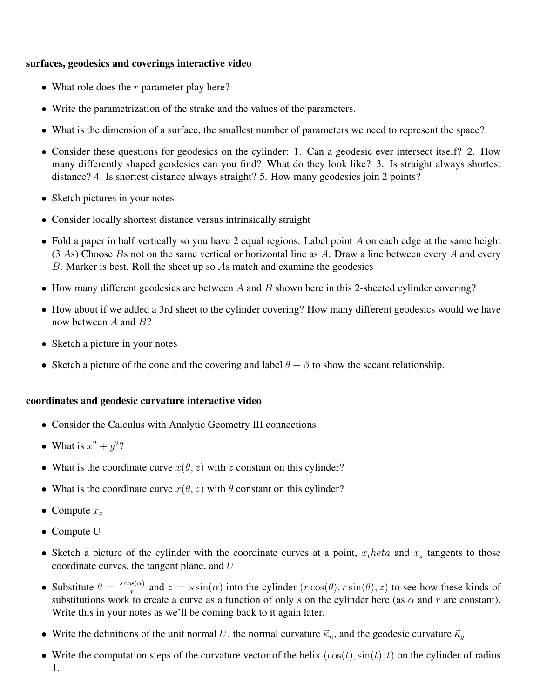## surfaces, geodesics and coverings interactive video

- What role does the  $r$  parameter play here?
- Write the parametrization of the strake and the values of the parameters.
- What is the dimension of a surface, the smallest number of parameters we need to represent the space?
- Consider these questions for geodesics on the cylinder: 1. Can a geodesic ever intersect itself? 2. How many differently shaped geodesics can you find? What do they look like? 3. Is straight always shortest distance? 4. Is shortest distance always straight? 5. How many geodesics join 2 points?
- Sketch pictures in your notes
- Consider locally shortest distance versus intrinsically straight
- Fold a paper in half vertically so you have 2 equal regions. Label point  $A$  on each edge at the same height  $(3 \text{ As})$  Choose Bs not on the same vertical or horizontal line as A. Draw a line between every A and every B. Marker is best. Roll the sheet up so As match and examine the geodesics
- How many different geodesics are between  $A$  and  $B$  shown here in this 2-sheeted cylinder covering?
- How about if we added a 3rd sheet to the cylinder covering? How many different geodesics would we have now between  $A$  and  $B$ ?
- Sketch a picture in your notes
- Sketch a picture of the cone and the covering and label  $\theta \beta$  to show the secant relationship.

## coordinates and geodesic curvature interactive video

- Consider the Calculus with Analytic Geometry III connections
- What is  $x^2 + y^2$ ?
- What is the coordinate curve  $x(\theta, z)$  with z constant on this cylinder?
- What is the coordinate curve  $x(\theta, z)$  with  $\theta$  constant on this cylinder?
- Compute  $x_z$
- Compute U
- Sketch a picture of the cylinder with the coordinate curves at a point,  $x_t heta$  and  $x_z$  tangents to those coordinate curves, the tangent plane, and U
- Substitute  $\theta = \frac{s \cos(\alpha)}{r}$  $r_{\text{r}}^{s(\alpha)}$  and  $z = s \sin(\alpha)$  into the cylinder  $(r \cos(\theta), r \sin(\theta), z)$  to see how these kinds of substitutions work to create a curve as a function of only s on the cylinder here (as  $\alpha$  and r are constant). Write this in your notes as we'll be coming back to it again later.
- Write the definitions of the unit normal U, the normal curvature  $\vec{\kappa}_n$ , and the geodesic curvature  $\vec{\kappa}_q$
- Write the computation steps of the curvature vector of the helix  $(\cos(t), \sin(t), t)$  on the cylinder of radius 1.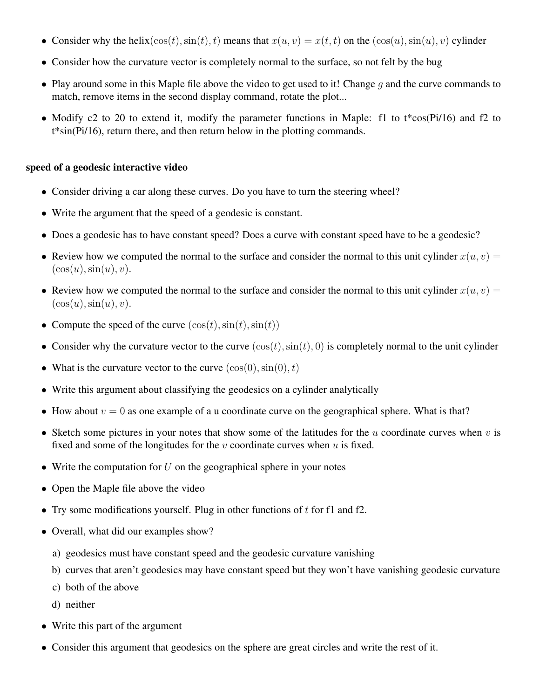- Consider why the helix( $\cos(t)$ ,  $\sin(t)$ , t) means that  $x(u, v) = x(t, t)$  on the  $(\cos(u), \sin(u), v)$  cylinder
- Consider how the curvature vector is completely normal to the surface, so not felt by the bug
- Play around some in this Maple file above the video to get used to it! Change  $q$  and the curve commands to match, remove items in the second display command, rotate the plot...
- Modify c2 to 20 to extend it, modify the parameter functions in Maple: f1 to t\*cos(Pi/16) and f2 to t\*sin(Pi/16), return there, and then return below in the plotting commands.

## speed of a geodesic interactive video

- Consider driving a car along these curves. Do you have to turn the steering wheel?
- Write the argument that the speed of a geodesic is constant.
- Does a geodesic has to have constant speed? Does a curve with constant speed have to be a geodesic?
- Review how we computed the normal to the surface and consider the normal to this unit cylinder  $x(u, v) =$  $(\cos(u), \sin(u), v).$
- Review how we computed the normal to the surface and consider the normal to this unit cylinder  $x(u, v) =$  $(\cos(u), \sin(u), v).$
- Compute the speed of the curve  $(\cos(t), \sin(t), \sin(t))$
- Consider why the curvature vector to the curve  $(\cos(t), \sin(t), 0)$  is completely normal to the unit cylinder
- What is the curvature vector to the curve  $(\cos(0), \sin(0), t)$
- Write this argument about classifying the geodesics on a cylinder analytically
- How about  $v = 0$  as one example of a u coordinate curve on the geographical sphere. What is that?
- Sketch some pictures in your notes that show some of the latitudes for the  $u$  coordinate curves when  $v$  is fixed and some of the longitudes for the  $v$  coordinate curves when  $u$  is fixed.
- Write the computation for  $U$  on the geographical sphere in your notes
- Open the Maple file above the video
- Try some modifications yourself. Plug in other functions of  $t$  for f1 and f2.
- Overall, what did our examples show?
	- a) geodesics must have constant speed and the geodesic curvature vanishing
	- b) curves that aren't geodesics may have constant speed but they won't have vanishing geodesic curvature
	- c) both of the above
	- d) neither
- Write this part of the argument
- Consider this argument that geodesics on the sphere are great circles and write the rest of it.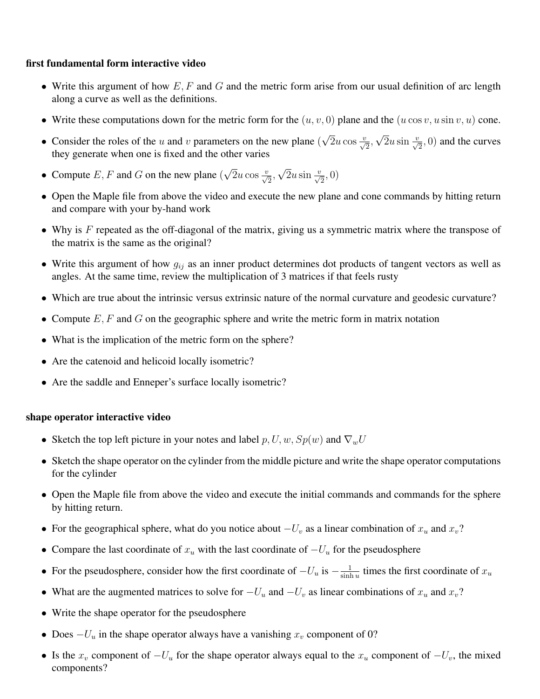#### first fundamental form interactive video

- Write this argument of how  $E, F$  and  $G$  and the metric form arise from our usual definition of arc length along a curve as well as the definitions.
- Write these computations down for the metric form for the  $(u, v, 0)$  plane and the  $(u \cos v, u \sin v, u)$  cone.
- Consider the roles of the  $u$  and  $v$  parameters on the new plane ( √  $\overline{2}u\cos\frac{v}{\sqrt{2}},$ √  $\overline{2}u\sin\frac{v}{\sqrt{2}}$ , 0) and the curves they generate when one is fixed and the other varies
- Compute  $E, F$  and  $G$  on the new plane ( √  $\overline{2}u\cos\frac{v}{\sqrt{2}},$ √  $\overline{2}u\sin\frac{v}{\sqrt{2}},0)$
- Open the Maple file from above the video and execute the new plane and cone commands by hitting return and compare with your by-hand work
- Why is  $F$  repeated as the off-diagonal of the matrix, giving us a symmetric matrix where the transpose of the matrix is the same as the original?
- Write this argument of how  $g_{ij}$  as an inner product determines dot products of tangent vectors as well as angles. At the same time, review the multiplication of 3 matrices if that feels rusty
- Which are true about the intrinsic versus extrinsic nature of the normal curvature and geodesic curvature?
- Compute  $E, F$  and  $G$  on the geographic sphere and write the metric form in matrix notation
- What is the implication of the metric form on the sphere?
- Are the catenoid and helicoid locally isometric?
- Are the saddle and Enneper's surface locally isometric?

## shape operator interactive video

- Sketch the top left picture in your notes and label  $p, U, w, Sp(w)$  and  $\nabla_w U$
- Sketch the shape operator on the cylinder from the middle picture and write the shape operator computations for the cylinder
- Open the Maple file from above the video and execute the initial commands and commands for the sphere by hitting return.
- For the geographical sphere, what do you notice about  $-U_v$  as a linear combination of  $x_u$  and  $x_v$ ?
- Compare the last coordinate of  $x_u$  with the last coordinate of  $-U_u$  for the pseudosphere
- For the pseudosphere, consider how the first coordinate of  $-U_u$  is  $-\frac{1}{\sinh u}$  $\frac{1}{\sinh u}$  times the first coordinate of  $x_u$
- What are the augmented matrices to solve for  $-U_u$  and  $-U_v$  as linear combinations of  $x_u$  and  $x_v$ ?
- Write the shape operator for the pseudosphere
- Does  $-U_u$  in the shape operator always have a vanishing  $x_v$  component of 0?
- Is the  $x_v$  component of  $-U_u$  for the shape operator always equal to the  $x_u$  component of  $-U_v$ , the mixed components?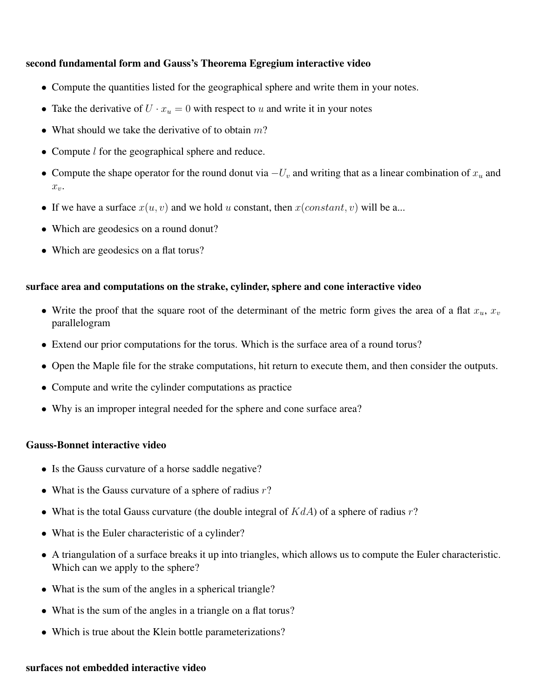#### second fundamental form and Gauss's Theorema Egregium interactive video

- Compute the quantities listed for the geographical sphere and write them in your notes.
- Take the derivative of  $U \cdot x_u = 0$  with respect to u and write it in your notes
- What should we take the derivative of to obtain  $m$ ?
- Compute *l* for the geographical sphere and reduce.
- Compute the shape operator for the round donut via  $-U_v$  and writing that as a linear combination of  $x_u$  and  $x_{\eta}$ .
- If we have a surface  $x(u, v)$  and we hold u constant, then  $x(constant, v)$  will be a...
- Which are geodesics on a round donut?
- Which are geodesics on a flat torus?

#### surface area and computations on the strake, cylinder, sphere and cone interactive video

- Write the proof that the square root of the determinant of the metric form gives the area of a flat  $x_u$ ,  $x_v$ parallelogram
- Extend our prior computations for the torus. Which is the surface area of a round torus?
- Open the Maple file for the strake computations, hit return to execute them, and then consider the outputs.
- Compute and write the cylinder computations as practice
- Why is an improper integral needed for the sphere and cone surface area?

#### Gauss-Bonnet interactive video

- Is the Gauss curvature of a horse saddle negative?
- What is the Gauss curvature of a sphere of radius  $r$ ?
- What is the total Gauss curvature (the double integral of  $KdA$ ) of a sphere of radius r?
- What is the Euler characteristic of a cylinder?
- A triangulation of a surface breaks it up into triangles, which allows us to compute the Euler characteristic. Which can we apply to the sphere?
- What is the sum of the angles in a spherical triangle?
- What is the sum of the angles in a triangle on a flat torus?
- Which is true about the Klein bottle parameterizations?

#### surfaces not embedded interactive video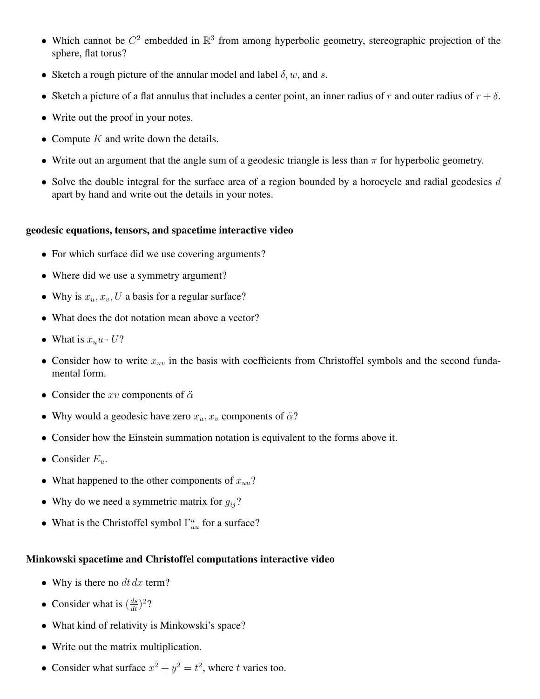- Which cannot be  $C^2$  embedded in  $\mathbb{R}^3$  from among hyperbolic geometry, stereographic projection of the sphere, flat torus?
- Sketch a rough picture of the annular model and label  $\delta$ , w, and s.
- Sketch a picture of a flat annulus that includes a center point, an inner radius of r and outer radius of  $r + \delta$ .
- Write out the proof in your notes.
- Compute  $K$  and write down the details.
- Write out an argument that the angle sum of a geodesic triangle is less than  $\pi$  for hyperbolic geometry.
- Solve the double integral for the surface area of a region bounded by a horocycle and radial geodesics  $d$ apart by hand and write out the details in your notes.

#### geodesic equations, tensors, and spacetime interactive video

- For which surface did we use covering arguments?
- Where did we use a symmetry argument?
- Why is  $x_u, x_v, U$  a basis for a regular surface?
- What does the dot notation mean above a vector?
- What is  $x_u u \cdot U$ ?
- Consider how to write  $x_{uv}$  in the basis with coefficients from Christoffel symbols and the second fundamental form.
- Consider the  $xv$  components of  $\ddot{\alpha}$
- Why would a geodesic have zero  $x_u, x_v$  components of  $\ddot{\alpha}$ ?
- Consider how the Einstein summation notation is equivalent to the forms above it.
- Consider  $E_u$ .
- What happened to the other components of  $x_{uu}$ ?
- Why do we need a symmetric matrix for  $g_{ij}$ ?
- What is the Christoffel symbol  $\Gamma_{uu}^u$  for a surface?

#### Minkowski spacetime and Christoffel computations interactive video

- Why is there no  $dt dx$  term?
- Consider what is  $\left(\frac{ds}{dt}\right)^2$ ?
- What kind of relativity is Minkowski's space?
- Write out the matrix multiplication.
- Consider what surface  $x^2 + y^2 = t^2$ , where t varies too.